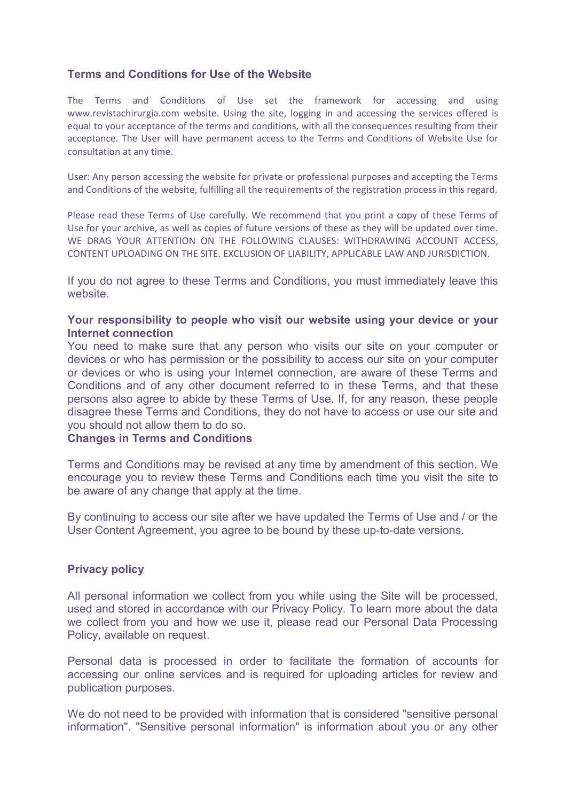## **Terms and Conditions for Use of the Website**

The Terms and Conditions of Use set the framework for accessing and using www.revistachirurgia.com website. Using the site, logging in and accessing the services offered is equal to your acceptance of the terms and conditions, with all the consequences resulting from their acceptance. The User will have permanent access to the Terms and Conditions of Website Use for consultation at any time.

User: Any person accessing the website for private or professional purposes and accepting the Terms and Conditions of the website, fulfilling all the requirements of the registration process in this regard.

Please read these Terms of Use carefully. We recommend that you print a copy of these Terms of Use for your archive, as well as copies of future versions of these as they will be updated over time. WE DRAG YOUR ATTENTION ON THE FOLLOWING CLAUSES: WITHDRAWING ACCOUNT ACCESS, CONTENT UPLOADING ON THE SITE. EXCLUSION OF LIABILITY, APPLICABLE LAW AND JURISDICTION.

If you do not agree to these Terms and Conditions, you must immediately leave this website.

### **Your responsibility to people who visit our website using your device or your Internet connection**

You need to make sure that any person who visits our site on your computer or devices or who has permission or the possibility to access our site on your computer or devices or who is using your Internet connection, are aware of these Terms and Conditions and of any other document referred to in these Terms, and that these persons also agree to abide by these Terms of Use. If, for any reason, these people disagree these Terms and Conditions, they do not have to access or use our site and you should not allow them to do so.

#### **Changes in Terms and Conditions**

Terms and Conditions may be revised at any time by amendment of this section. We encourage you to review these Terms and Conditions each time you visit the site to be aware of any change that apply at the time.

By continuing to access our site after we have updated the Terms of Use and / or the User Content Agreement, you agree to be bound by these up-to-date versions.

### **Privacy policy**

All personal information we collect from you while using the Site will be processed, used and stored in accordance with our Privacy Policy. To learn more about the data we collect from you and how we use it, please read our Personal Data Processing Policy, available on request.

Personal data is processed in order to facilitate the formation of accounts for accessing our online services and is required for uploading articles for review and publication purposes.

We do not need to be provided with information that is considered "sensitive personal information". "Sensitive personal information" is information about you or any other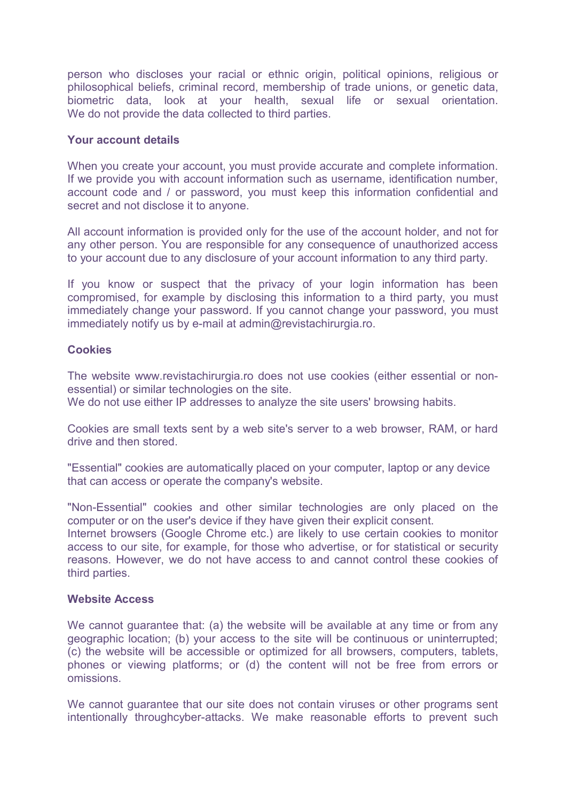person who discloses your racial or ethnic origin, political opinions, religious or philosophical beliefs, criminal record, membership of trade unions, or genetic data, biometric data, look at your health, sexual life or sexual orientation. We do not provide the data collected to third parties.

### **Your account details**

When you create your account, you must provide accurate and complete information. If we provide you with account information such as username, identification number, account code and / or password, you must keep this information confidential and secret and not disclose it to anyone.

All account information is provided only for the use of the account holder, and not for any other person. You are responsible for any consequence of unauthorized access to your account due to any disclosure of your account information to any third party.

If you know or suspect that the privacy of your login information has been compromised, for example by disclosing this information to a third party, you must immediately change your password. If you cannot change your password, you must immediately notify us by e-mail at admin@revistachirurgia.ro.

## **Cookies**

The website www.revistachirurgia.ro does not use cookies (either essential or nonessential) or similar technologies on the site.

We do not use either IP addresses to analyze the site users' browsing habits.

Cookies are small texts sent by a web site's server to a web browser, RAM, or hard drive and then stored.

"Essential" cookies are automatically placed on your computer, laptop or any device that can access or operate the company's website.

"Non-Essential" cookies and other similar technologies are only placed on the computer or on the user's device if they have given their explicit consent.

Internet browsers (Google Chrome etc.) are likely to use certain cookies to monitor access to our site, for example, for those who advertise, or for statistical or security reasons. However, we do not have access to and cannot control these cookies of third parties.

### **Website Access**

We cannot guarantee that: (a) the website will be available at any time or from any geographic location; (b) your access to the site will be continuous or uninterrupted; (c) the website will be accessible or optimized for all browsers, computers, tablets, phones or viewing platforms; or (d) the content will not be free from errors or omissions.

We cannot quarantee that our site does not contain viruses or other programs sent intentionally throughcyber-attacks. We make reasonable efforts to prevent such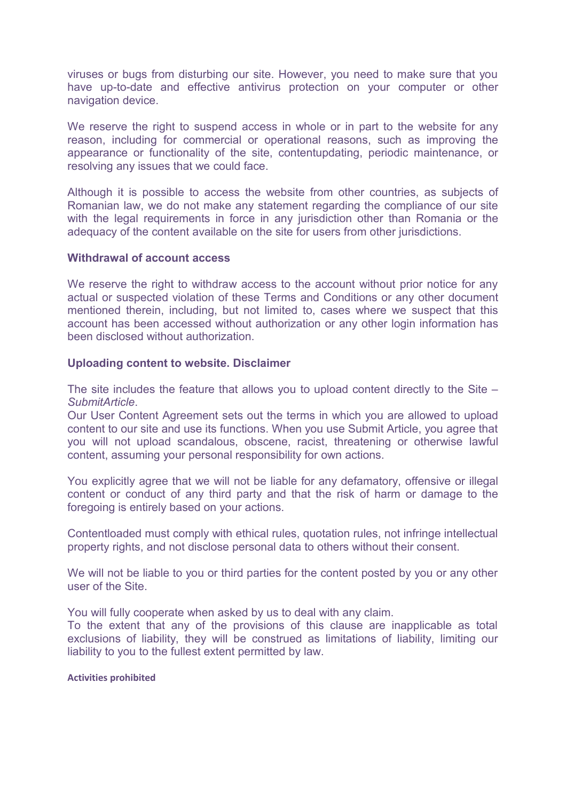viruses or bugs from disturbing our site. However, you need to make sure that you have up-to-date and effective antivirus protection on your computer or other navigation device.

We reserve the right to suspend access in whole or in part to the website for any reason, including for commercial or operational reasons, such as improving the appearance or functionality of the site, contentupdating, periodic maintenance, or resolving any issues that we could face.

Although it is possible to access the website from other countries, as subjects of Romanian law, we do not make any statement regarding the compliance of our site with the legal requirements in force in any jurisdiction other than Romania or the adequacy of the content available on the site for users from other jurisdictions.

### **Withdrawal of account access**

We reserve the right to withdraw access to the account without prior notice for any actual or suspected violation of these Terms and Conditions or any other document mentioned therein, including, but not limited to, cases where we suspect that this account has been accessed without authorization or any other login information has been disclosed without authorization.

### **Uploading content to website. Disclaimer**

The site includes the feature that allows you to upload content directly to the Site  $-$ *SubmitArticle*.

Our User Content Agreement sets out the terms in which you are allowed to upload content to our site and use its functions. When you use Submit Article, you agree that you will not upload scandalous, obscene, racist, threatening or otherwise lawful content, assuming your personal responsibility for own actions.

You explicitly agree that we will not be liable for any defamatory, offensive or illegal content or conduct of any third party and that the risk of harm or damage to the foregoing is entirely based on your actions.

Contentloaded must comply with ethical rules, quotation rules, not infringe intellectual property rights, and not disclose personal data to others without their consent.

We will not be liable to you or third parties for the content posted by you or any other user of the Site.

You will fully cooperate when asked by us to deal with any claim.

To the extent that any of the provisions of this clause are inapplicable as total exclusions of liability, they will be construed as limitations of liability, limiting our liability to you to the fullest extent permitted by law.

#### **Activities prohibited**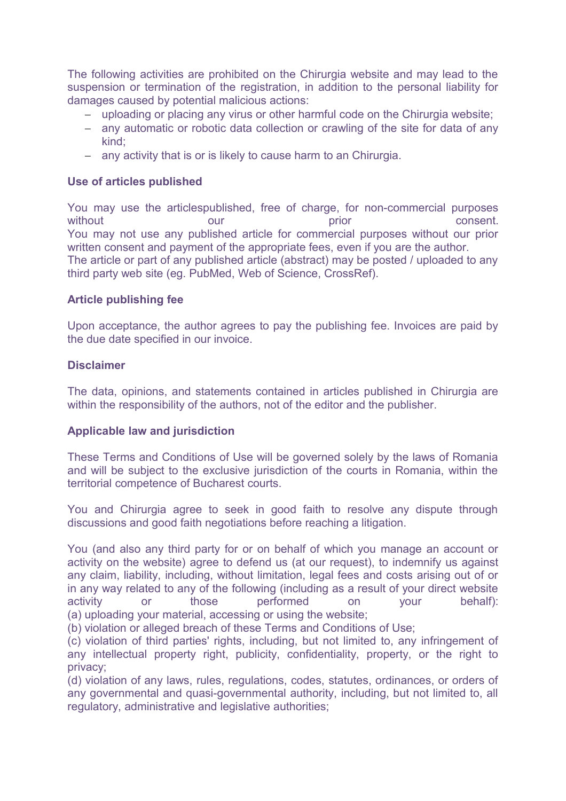The following activities are prohibited on the Chirurgia website and may lead to the suspension or termination of the registration, in addition to the personal liability for damages caused by potential malicious actions:

- uploading or placing any virus or other harmful code on the Chirurgia website;
- any automatic or robotic data collection or crawling of the site for data of any kind;
- any activity that is or is likely to cause harm to an Chirurgia.

# **Use of articles published**

You may use the articlespublished, free of charge, for non-commercial purposes without our our prior prior consent. You may not use any published article for commercial purposes without our prior written consent and payment of the appropriate fees, even if you are the author. The article or part of any published article (abstract) may be posted / uploaded to any third party web site (eg. PubMed, Web of Science, CrossRef).

# **Article publishing fee**

Upon acceptance, the author agrees to pay the publishing fee. Invoices are paid by the due date specified in our invoice.

## **Disclaimer**

The data, opinions, and statements contained in articles published in Chirurgia are within the responsibility of the authors, not of the editor and the publisher.

## **Applicable law and jurisdiction**

These Terms and Conditions of Use will be governed solely by the laws of Romania and will be subject to the exclusive jurisdiction of the courts in Romania, within the territorial competence of Bucharest courts.

You and Chirurgia agree to seek in good faith to resolve any dispute through discussions and good faith negotiations before reaching a litigation.

You (and also any third party for or on behalf of which you manage an account or activity on the website) agree to defend us (at our request), to indemnify us against any claim, liability, including, without limitation, legal fees and costs arising out of or in any way related to any of the following (including as a result of your direct website activity or those performed on your behalf): (a) uploading your material, accessing or using the website;

(b) violation or alleged breach of these Terms and Conditions of Use;

(c) violation of third parties' rights, including, but not limited to, any infringement of any intellectual property right, publicity, confidentiality, property, or the right to privacy;

(d) violation of any laws, rules, regulations, codes, statutes, ordinances, or orders of any governmental and quasi-governmental authority, including, but not limited to, all regulatory, administrative and legislative authorities;